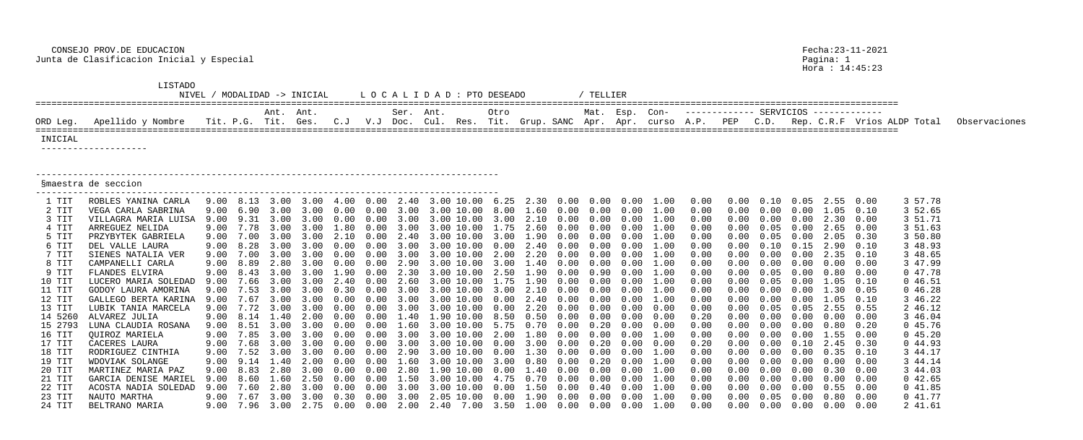|                | LISTADO<br>NIVEL                   |      |                     |                                        | MODALIDAD -> INICIAL |      |      |           | LOCALIDAD: PTO DESEADO                                                              |      |      |      | TELLIER   |      |            |              |      |               |                          |                                         |              |                             |               |
|----------------|------------------------------------|------|---------------------|----------------------------------------|----------------------|------|------|-----------|-------------------------------------------------------------------------------------|------|------|------|-----------|------|------------|--------------|------|---------------|--------------------------|-----------------------------------------|--------------|-----------------------------|---------------|
|                |                                    |      |                     | Ant. Ant.                              |                      |      |      | Ser. Ant. |                                                                                     | Otro |      |      | Mat. Esp. |      | Con-       |              |      |               |                          |                                         |              |                             |               |
| ORD Leg.       | Apellido y Nombre                  |      | Tit. P.G. Tit. Ges. |                                        |                      | C. J | V.J  | Doc.      | Cul. Res. Tit. Grup. SANC Apr.                                                      |      |      |      |           | Apr. | curso A.P. |              | PEP  | C.D.          |                          |                                         |              | Rep. C.R.F Vrios ALDP Total | Observaciones |
| INICIAL        | ____________________               |      |                     |                                        |                      |      |      |           |                                                                                     |      |      |      |           |      |            |              |      |               |                          |                                         |              |                             |               |
|                | Smaestra de seccion                |      |                     |                                        |                      |      |      |           |                                                                                     |      |      |      |           |      |            |              |      |               |                          |                                         |              |                             |               |
| 1 TIT          | ROBLES YANINA CARLA                | 9.00 | 8.13                | $\sim$ 3 $\sim$ 0.0                    |                      |      | .00  | 2.40      | 3.00 10.00 6.25                                                                     |      | 2.30 | 0.00 | 0.00      | 0.00 |            | 0.00         |      |               |                          | 2.55                                    | 0.00         | 3 57.78                     |               |
| 2 TIT          | VEGA CARLA SABRINA                 |      |                     |                                        |                      |      |      |           |                                                                                     |      |      |      |           |      |            | 0.00         |      |               |                          |                                         | 0.10         | 3 52.65                     |               |
| 3 TIT          | VILLAGRA MARIA LUISA               | 9.00 | 9.31                | $\begin{array}{cc} \hline \end{array}$ | 3 ()()               |      |      |           | 10.00<br>3(10)                                                                      | 3.00 |      | 0.00 | 0.00      | 0.00 | 1.00       | 0.00         |      | $(1 \quad 1)$ |                          | 2.30                                    | 0.00         | 3 51.71                     |               |
| 4 TIT          | ARREGUEZ NELIDA                    |      | 7.78                | 3.00                                   |                      |      |      |           | 10.00                                                                               | . 75 |      |      |           |      |            | 0.00         |      | 0.05          |                          | 2.65                                    | 0.00         | 3 51.63                     |               |
| 5 TIT          | PRZYBYTEK GABRIELA                 | 9.00 |                     |                                        |                      |      |      |           |                                                                                     |      |      |      |           |      |            | 0.00         |      |               |                          |                                         | 0.30         | 3 50.80                     |               |
| 6 TIT          | DEL VALLE LAURA                    | 9.00 | 8.28                |                                        |                      |      |      |           |                                                                                     | U.NG |      |      |           |      | 1.00       | 0.00         |      |               | $\overline{\phantom{a}}$ | 2.90                                    | 0.10         | 3 48.93                     |               |
| 7 TIT          | SIENES NATALIA VER                 | 9.00 |                     |                                        |                      |      |      |           | $(1)$ , $(1)$                                                                       |      |      |      |           |      |            | 0.00         |      |               |                          | 2.35                                    | 0.10<br>0.00 | 3 48.65<br>3 47.99          |               |
| 8 TIT<br>9 TIT | CAMPANELLI CARLA<br>FLANDES ELVIRA | 9.00 |                     |                                        |                      |      |      |           |                                                                                     |      |      |      |           |      | 1.00       | 0.00<br>0.00 |      |               |                          | 0.80                                    | 0.00         | 047.78                      |               |
| 10 TIT         | LUCERO MARIA SOLEDAD               | 9.00 |                     |                                        |                      |      |      |           | $(11)$ , $(11)$                                                                     |      |      |      |           |      |            | 0.00         |      |               |                          | .05                                     | 0.10         | 046.51                      |               |
| 11 TIT         | GODOY LAURA AMORINA                |      |                     |                                        |                      |      |      |           |                                                                                     |      |      |      |           |      |            | 0.00         |      |               |                          | .30                                     | 0.05         | 046.28                      |               |
| 12 TIT         | GALLEGO BERTA KARINA               | 9.00 |                     |                                        |                      |      |      |           |                                                                                     |      |      |      |           |      | 1.00       | 0.00         |      |               |                          | .05                                     | 0.10         | 3 46.22                     |               |
| 13 TIT         | LUBIK TANIA MARCELA                | 9.00 |                     |                                        |                      |      |      |           |                                                                                     |      |      |      |           |      |            | 0.00         |      |               |                          | 2.55                                    | 0.55         | 2 46.12                     |               |
| 14 5260        | ALVAREZ JULIA                      |      |                     |                                        |                      |      |      |           |                                                                                     | .50  |      |      |           |      |            | 0.20         |      |               |                          | 0.00                                    | 0.00         | 3 46.04                     |               |
| 15 2793        | LUNA CLAUDIA ROSANA                | 9.00 | 8.51                | 3.00                                   | 3.00                 | 0.00 | 0.00 | 1.60      | 3.00 10.00                                                                          | 5.75 | 0.70 | 0.00 | 0.20      | 0.00 | 0.00       | 0.00         |      | 0.00          | 0.00                     | 0.80                                    | 0.20         | 0 45.76                     |               |
| 16 TIT         | QUIROZ MARIELA                     |      |                     |                                        |                      |      |      |           | 9.00 7.85 3.00 3.00 0.00 0.00 3.00 3.00 10.00 2.00 1.80 0.00 0.00 0.00 1.00         |      |      |      |           |      |            | 0.00         |      |               |                          | $0.00$ $0.00$ $0.00$ $1.55$ $0.00$      |              | 045.20                      |               |
| 17 TIT         | CACERES LAURA                      | 9.00 |                     |                                        |                      |      |      |           |                                                                                     |      |      |      |           |      |            | 0.20         | 0.00 |               |                          | $0.00 \quad 0.10 \quad 2.45 \quad 0.30$ |              | 044.93                      |               |
| 18 TIT         | RODRIGUEZ CINTHIA                  |      |                     |                                        |                      |      |      |           | 9.00 7.52 3.00 3.00 0.00 0.00 2.90 3.00 10.00 0.00 1.30 0.00 0.00 0.00 1.00         |      |      |      |           |      |            | 0.00         | 0.00 |               |                          | $0.00$ $0.00$ $0.35$ $0.10$             |              | 3 44.17                     |               |
| 19 TIT         | WDOVIAK SOLANGE                    |      |                     |                                        |                      |      |      |           | 9.00 9.14 1.40 2.00 0.00 0.00 1.60 3.00 10.00 3.00 0.80 0.00 0.20 0.00 1.00         |      |      |      |           |      |            | 0.00         | 0.00 |               |                          | $0.00 \t 0.00 \t 0.00 \t 0.00$          |              | 3 44.14                     |               |
| 20 TIT         | MARTINEZ MARIA PAZ                 | 9.00 |                     |                                        |                      |      |      |           | 8.83  2.80  3.00  0.00  0.00  2.80  1.90  10.00  0.00  1.40  0.00  0.00  0.00  1.00 |      |      |      |           |      |            | 0.00         | 0.00 |               |                          | $0.00 \t 0.00 \t 0.30 \t 0.00$          |              | 3 44.03                     |               |
| 21 TIT         | GARCIA DENISE MARIEL               |      |                     |                                        |                      |      |      |           | 9.00 8.60 1.60 2.50 0.00 0.00 1.50 3.00 10.00 4.75 0.70 0.00 0.00 0.00 1.00         |      |      |      |           |      |            | 0.00         | 0.00 |               |                          | $0.00 \t 0.00 \t 0.00 \t 0.00$          |              | 042.65                      |               |
| 22 TIT         | ACOSTA NADIA SOLEDAD               |      |                     |                                        |                      |      |      |           | 9.00 7.60 2.80 3.00 0.00 0.00 3.00 3.00 10.00 0.00 1.50 0.00 0.40 0.00 1.00         |      |      |      |           |      |            | 0.00         | 0.00 |               |                          | $0.00 \t 0.00 \t 0.55 \t 0.00$          |              | 041.85                      |               |
| 23 TIT         | NAUTO MARTHA                       |      |                     |                                        |                      |      |      |           | 9.00 7.67 3.00 3.00 0.30 0.00 3.00 2.05 10.00 0.00 1.90 0.00 0.00 0.00 1.00         |      |      |      |           |      |            | 0.00         | 0.00 | 0.05          | 0.00                     | $0.80\quad 0.00$                        |              | 041.77                      |               |
| 24 TIT         | BELTRANO MARIA                     |      |                     |                                        |                      |      |      |           | 9.00 7.96 3.00 2.75 0.00 0.00 2.00 2.40 7.00 3.50 1.00 0.00 0.00 0.00 1.00          |      |      |      |           |      |            | 0.00         | 0.00 |               |                          | $0.00$ $0.00$ $0.00$ $0.00$             |              | 2 41.61                     |               |

Pagina: 1<br>Hora : 14:45:23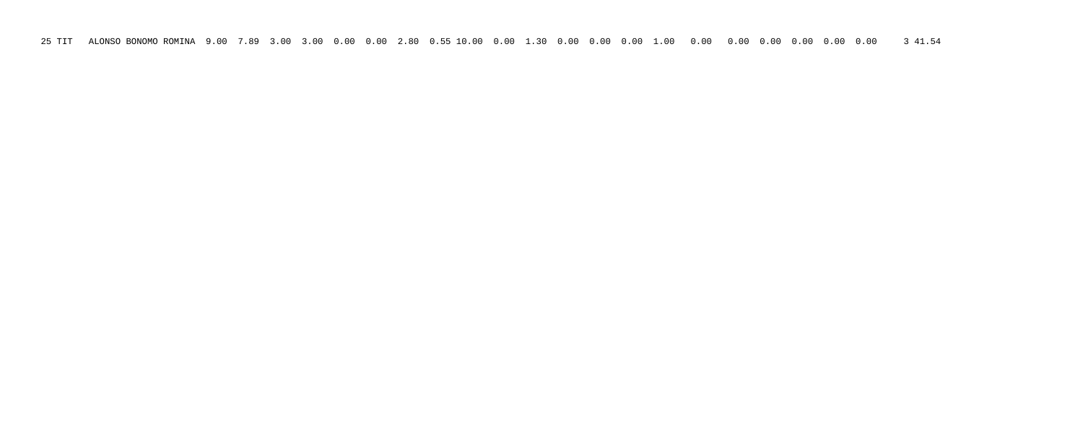25 TIT ALONSO BONOMO ROMINA 9.00 7.89 3.00 3.00 0.00 0.00 2.80 0.55 10.00 0.00 1.30 0.00 0.00 0.00 1.00 0.00 0.00 0.00 0.00 0.00 0.00 3 41.54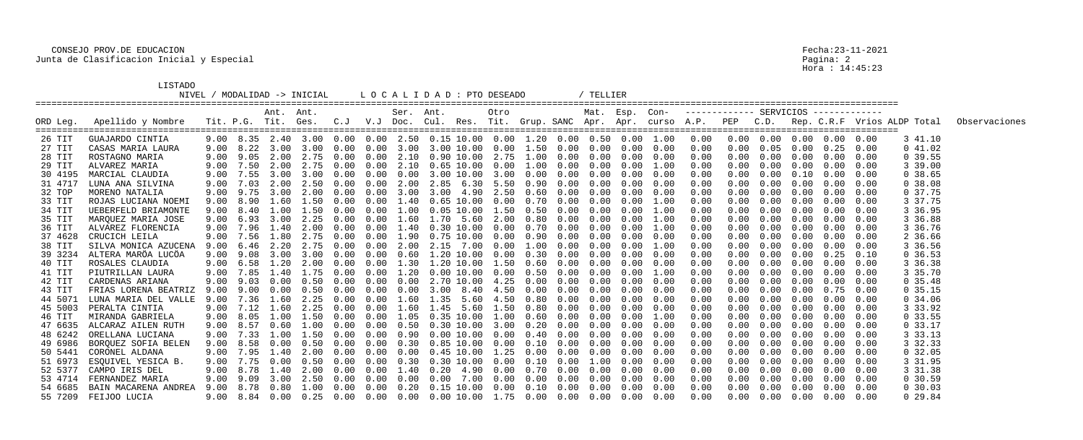## LISTADO

|                   | <b>TT2.I.ADO</b>                   |              |                     |              | NIVEL / MODALIDAD -> INICIAL |        |              |              | L O C A L I D A D : PTO DESEADO                                                                   |      |            |              |              | TELLIER      |                  |              |              |            |              |                   |                                        |              |                                                                                     |               |
|-------------------|------------------------------------|--------------|---------------------|--------------|------------------------------|--------|--------------|--------------|---------------------------------------------------------------------------------------------------|------|------------|--------------|--------------|--------------|------------------|--------------|--------------|------------|--------------|-------------------|----------------------------------------|--------------|-------------------------------------------------------------------------------------|---------------|
|                   |                                    |              |                     | Ant. Ant.    |                              |        |              | Ser.         | Ant.                                                                                              |      | Otro       |              |              |              | Mat. Esp. Con-   |              |              |            |              |                   |                                        |              |                                                                                     |               |
| ORD Leg.          | Apellido y Nombre                  |              | Tit. P.G. Tit. Ges. |              |                              | C. J   | V.J          | Doc.         |                                                                                                   |      |            |              |              |              |                  |              |              |            |              |                   |                                        |              | Cul. Res. Tit. Grup. SANC Apr. Apr. curso A.P. PEP C.D. Rep. C.R.F Vrios ALDP Total | Observaciones |
| 26 TIT            | GUAJARDO CINTIA                    | 9.00         | 8.35                |              | 2.40 3.00 0.00               |        |              |              | $0.00$ 2.50 0.15 10.00 0.00 1.20 0.00                                                             |      |            |              |              |              | $0.50\quad 0.00$ | 1.00         | 0.00         | 0.00       |              | $0.00 \quad 0.00$ | 0.00                                   | 0.00         | 3 41.10                                                                             |               |
| 27 TIT            | CASAS MARIA LAURA                  | 9.00         | 8.22                |              | 3.00 3.00                    | 0.00   | 0.00         | 3.00         | 3.00 10.00 0.00 1.50                                                                              |      |            |              | 0.00         | 0.00         | 0.00             | 0.00         | 0.00         | 0.00       | 0.05         | 0.00              | 0.25                                   | 0.00         | 041.02                                                                              |               |
| 28 TIT            | ROSTAGNO MARIA                     | 9.00         | 9.05                | 2.00         | 2.75                         | 0.00   | 0.00         | 2.10         | $0.90$ 10.00 2.75 1.00                                                                            |      |            |              | 0.00         | 0.00         | 0.00             | 0.00         | 0.00         | 0.00       | 0.00         | 0.00              | 0.00                                   | 0.00         | 0, 39.55                                                                            |               |
| 29 TIT            | ALVAREZ MARIA                      | 9.00         | 7.50                | 2.00         | 2.75                         | (0.00) | 0.00         | 2.10         | 0.65 10.00                                                                                        |      | 0.00       | 1.00         | 0.00         | 0.00         | 0.00             | 1.00         | 0.00         |            | 0.00         | 0.00              | 0.00                                   | 0.00         | 3 39.00                                                                             |               |
| 30 4195           | MARCIAL CLAUDIA                    | 9.00         | 7.55                | 3.00         | 3.00                         | (0.00) | 0.00         | 0.00         | 3.00 10.00                                                                                        |      | 3.00       | 0.00         | 0.00         | 0.00         | 0.00             | 0.00         | 0.00         |            | 0.00         | 0.10              | 0.00                                   | 0.00         | 0.38.65                                                                             |               |
| 31 4717           | LUNA ANA SILVINA                   | 9.00         | 7.03                | 2.00         | 2.50                         | 0.00   | 0.00         | 2.00         | 2.85 6.30 5.50                                                                                    |      |            | 0.90         | 0.00         | 0.00         | 0.00             | 0.00         | 0.00         |            | 0.00         | 0.00              | 0.00                                   | 0.00         | 0.38.08                                                                             |               |
| 32 TOP            | MORENO NATALIA                     | 9.00         | 9.75                | 3.00         | 2.00                         | 0.00   | 0.00         | 3.00         | 3.00                                                                                              | 4.90 | 2.50       | 0.60         | 0.00         | 0.00         | 0.00             | 0.00         | 0.00         |            | 0.00         | 0.00              | 0.00                                   | 0.00         | 0, 37.75                                                                            |               |
| 33 TIT            | ROJAS LUCIANA NOEMI                | 9.00         |                     |              |                              |        |              |              | 0.65 10.00                                                                                        |      | 0.00       | 0.70         | 0.00         | 0.00         | 0.00             | 1.00         | 0.00         |            |              | 0.00              | 0.00                                   | 0.00         | 3 37.75                                                                             |               |
| 34 TIT            | UEBERFELD BRIAMONTE                | 9.00         | 8.40                | 1.00         | 1.50                         | (1.00) | 0.00         | 1.00         | $0.05$ $10.00$ $1.50$                                                                             |      |            | 0.50         | 0.00         | 0.00         | 0.00             | 1.00         | 0.00         |            | 0.00         | 0.00              | 0.00                                   | 0.00         | 3 36.95                                                                             |               |
| 35 TIT            | MARQUEZ MARIA JOSE                 | 9.00         | 6.93<br>7.96        | 3.00         | 2.25                         | 0.00   | 0.00         | 60           | 1.70                                                                                              | 5.60 | 2.00       | 0.80<br>0.70 | 0.00         | 0.00         | 0.00<br>0.00     | 1.00         | 0.00         |            | 0.00         | 0.00              | 0.00                                   | 0.00         | 3 36.88                                                                             |               |
| 36 TIT            | ALVAREZ FLORENCIA<br>CRUCICH LEILA | 9.00         |                     | 1.40<br>1.80 | 2.75                         | 0.00   | $.00 \times$ |              | 0.30 10.00                                                                                        |      | 0.00       |              | 0.00         | 0.00         |                  | 1.00         | 0.00         |            |              | 0.00              | 0.00                                   | 0.00         | 3 36.76                                                                             |               |
| 37 4628           | SILVA MONICA AZUCENA               | 9.00         | 7.56<br>6.46        | 2.20         | 2.75                         | 0.00   | 0.00<br>0.00 | 1.90         | 0.75 10.00 0.00                                                                                   | 7.00 | $0\,.\,00$ | 0.90<br>1.00 | 0.00<br>0.00 | 0.00         | 0.00<br>0.00     | 0.00         | 0.00         |            | 0.00<br>0.00 | 0.00<br>0.00      | 0.00<br>0.00                           | 0.00         | 2 36.66                                                                             |               |
| 38 TIT<br>39 3234 | ALTERA MARÖA LUCÖA                 | 9.00<br>9.00 | 9.08                | 3.00         | 3.00                         | 0.00   | 0.00         | 2.00<br>0.60 | 2.15<br>$1.20$ 10.00 0.00                                                                         |      |            | 0.30         | 0.00         | 0.00<br>0.00 | 0.00             | 1.00<br>0.00 | 0.00<br>0.00 |            | 0.00         | 0.00              | 0.25                                   | 0.00<br>0.10 | 3 36.56<br>0.36.53                                                                  |               |
| 40 TIT            | ROSALES CLAUDIA                    | 9.00         | 6.58                | 1.20         | 2.00                         | (1.00) | 0.00         | 1.30         | 1.20 10.00 1.50                                                                                   |      |            | 0.60         | 0.00         | 0.00         | 0.00             | 0.00         | 0.00         |            | 0.00         | 0.00              | 0.00                                   | 0.00         | 3 36.38                                                                             |               |
| 41 TIT            | PIUTRILLAN LAURA                   | 9.00         | 7.85                | 1.40         | 1.75                         | (1.00) | 0.00         | .20          | $0.00$ $10.00$                                                                                    |      | $0\,.\,00$ | 0.50         | 0.00         | 0.00         | 0.00             | 1.00         | 0.00         |            | 0.00         | 0.00              | 0.00                                   | 0.00         | 3 35.70                                                                             |               |
| 42 TIT            | CARDENAS ARIANA                    | 9.00         | 9.03                | 0.00         | 0.50                         | (1.00) | $.00 \times$ | 0.00         | 2.70 10.00                                                                                        |      | 4.25       | 0.00         | 0.00         | 0.00         | 0.00             | 0.00         | 0.00         |            | 0.00         | 0.00              | 0.00                                   | 0.00         | 0, 35.48                                                                            |               |
| 43 TIT            | FRIAS LORENA BEATRIZ               | 9.00         | 9.00                | (1.00)       | 0.50                         | (0.00) | 0.00         | 0.00         | 3.00                                                                                              | 8.40 | 4.50       | 0.00         | 0.00         | 0.00         | 0.00             | 0.00         | 0.00         |            | 0.00         | 0.00              | 0.75                                   | 0.00         | 0, 35.15                                                                            |               |
| 44 5071           | LUNA MARIA DEL VALLE               | 9.00         | 7.36                | 1.60         | 2.25                         | (0.00) | (1.00)       |              | . 35                                                                                              | 5.60 | 4.50       | 0.80         | 0.00         | 0.00         | 0.00             | 0.00         | 0.00         |            | 0.00         | 0.00              | 0.00                                   | 0.00         | 0, 34.06                                                                            |               |
| 45 5003           | PERALTA CINTIA                     | 9.00         |                     | 1.60         | 2.25                         | (0.00) | .00.         |              | . 45                                                                                              | 5.60 | .50        | 0.80         | 0.00         | 0.00         | 0.00             | 0.00         | 0.00         |            |              | 0.00              | 0.00                                   | 0.00         | 3 33.92                                                                             |               |
| 46 TIT            | MIRANDA GABRIELA                   | 9.00         | 8.05                | 1.00         | 1.50                         | 0.00   | 0.00         | 1.05         | 0.35 10.00                                                                                        |      | 1.00       | 0.60         | 0.00         | 0.00         | 0.00             | 1.00         | 0.00         | 0.00       | 0.00         | 0.00              | 0.00                                   | 0.00         | 0, 33.55                                                                            |               |
| 47 6635           | ALCARAZ AILEN RUTH                 | 9.00         | 8.57                |              | 0.60 1.00                    | 0.00   | $0\,.\,00$   | 0.50         | $0.30$ 10.00 3.00 0.20                                                                            |      |            |              | $0\,.\,00$   | $0\,.\,00$   | 0.00             | 0.00         | 0.00         | 0.00       |              | $0.00 \quad 0.00$ | $0\,.\,00$                             | 0.00         | 0.33.17                                                                             |               |
|                   | 48 6242 ORELLANA LUCIANA           |              |                     |              |                              |        |              |              |                                                                                                   |      |            |              |              |              |                  |              | 0.00         |            |              |                   | $0.00$ $0.00$ $0.00$ $0.00$ $0.00$     |              | 3 33.13                                                                             |               |
| 49 6986           | BORQUEZ SOFIA BELEN                |              |                     |              |                              |        |              |              | 9.00 8.58 0.00 0.50 0.00 0.00 0.30 0.85 10.00 0.00 0.10 0.00 0.00 0.00 0.00                       |      |            |              |              |              |                  |              | 0.00         |            |              |                   | $0.00 \t 0.00 \t 0.00 \t 0.00 \t 0.00$ |              | 3 32.33                                                                             |               |
| 50 5441           | CORONEL ALDANA                     |              |                     |              |                              |        |              |              | $9.00$ 7.95 1.40 2.00 0.00 0.00 0.00 0.45 10.00 1.25 0.00 0.00 0.00 0.00                          |      |            |              |              |              |                  | 0.00         | 0.00         |            |              |                   | $0.00$ $0.00$ $0.00$ $0.00$ $0.00$     |              | 0, 32.05                                                                            |               |
| 51 6973           | ESQUIVEL YESICA B.                 |              |                     |              |                              |        |              |              | 9.00 7.75  0.00  0.50  0.00  0.00  0.30  0.30  10.00  0.00  0.10  0.00  1.00  0.00                |      |            |              |              |              |                  | 0.00         | 0.00         | 0.00       |              |                   | $0.00 \t 0.00 \t 0.00 \t 0.00$         |              | 3 31.95                                                                             |               |
|                   | 52 5377 CAMPO IRIS DEL             |              |                     |              |                              |        |              |              | 9.00 8.78 1.40 2.00 0.00 0.00 1.40 0.20 4.90 0.00 0.70 0.00 0.00 0.00                             |      |            |              |              |              |                  | 0.00         | 0.00         | $0\,.\,00$ |              |                   | $0.00 \t 0.00 \t 0.00 \t 0.00$         |              | 3 31.38                                                                             |               |
|                   | 53 4714 FERNANDEZ MARIA            |              |                     |              |                              |        |              |              | $9.00$ $9.09$ $3.00$ $2.50$ $0.00$ $0.00$ $0.00$ $0.00$ $7.00$ $0.00$ $0.00$ $0.00$ $0.00$ $0.00$ |      |            |              |              |              |                  | 0.00         | 0.00         | 0.00       |              |                   | $0.00 \t 0.00 \t 0.00 \t 0.00$         |              | 0, 30.59                                                                            |               |
| 54 6685           | BAIN MACARENA ANDREA               |              |                     |              |                              |        |              |              | 9.00 8.78  0.80  1.00  0.00  0.00  0.20  0.15  10.00  0.00  0.10  0.00  0.00  0.00                |      |            |              |              |              |                  | 0.00         | 0.00         | 0.00       |              |                   | $0.00 \t 0.00 \t 0.00 \t 0.00$         |              | 0, 30.03                                                                            |               |
|                   | 55 7209 FEIJOO LUCIA               |              |                     |              |                              |        |              |              | 9.00 8.84 0.00 0.25 0.00 0.00 0.00 0.00 10.00 1.75 0.00 0.00 0.00 0.00 0.00                       |      |            |              |              |              |                  |              | 0.00         |            |              |                   | $0.00 \t 0.00 \t 0.00 \t 0.00 \t 0.00$ |              | 0 29.84                                                                             |               |

Pagina: 2<br>Hora : 14:45:23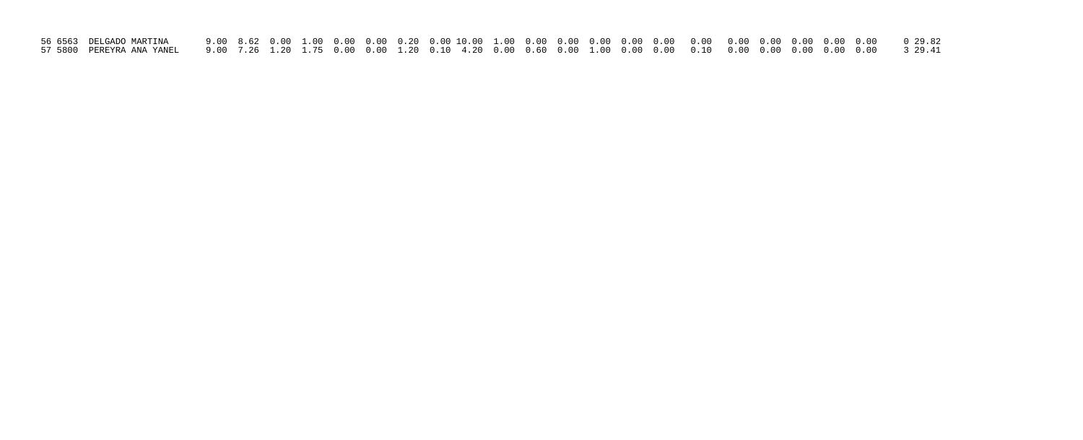| 56 6563 DELGADO MARTINA |  |  |  |  |  |  |  |  |  |  |  |  |
|-------------------------|--|--|--|--|--|--|--|--|--|--|--|--|
|                         |  |  |  |  |  |  |  |  |  |  |  |  |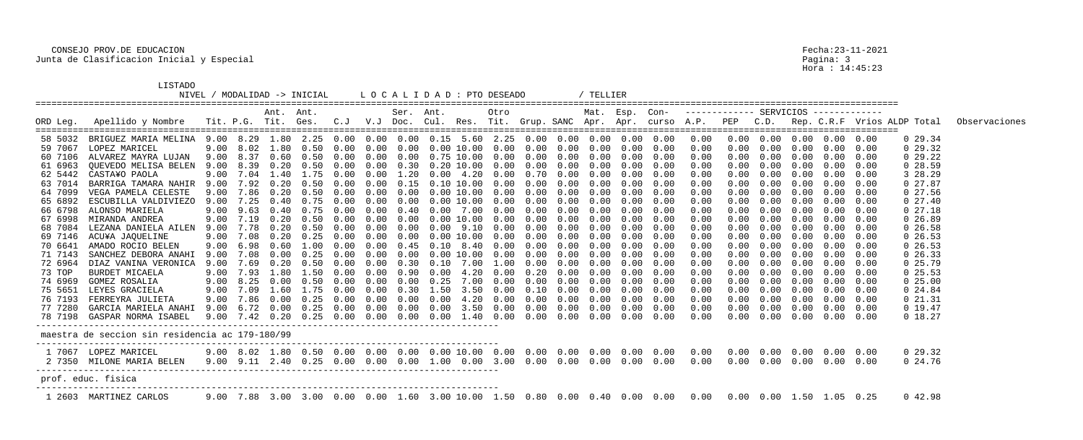LISTADO

|          |                                                 |      |           |           | NIVEL / MODALIDAD -> INICIAL  |               |        |           | L O C A L I D A D : PTO DESEADO                    |      |            |                   |      | TELLIER           |                   |      |                                                         |      |                                       |            |                  |      |                                  |               |
|----------|-------------------------------------------------|------|-----------|-----------|-------------------------------|---------------|--------|-----------|----------------------------------------------------|------|------------|-------------------|------|-------------------|-------------------|------|---------------------------------------------------------|------|---------------------------------------|------------|------------------|------|----------------------------------|---------------|
| ORD Leg. | Apellido y Nombre                               |      |           | Ant. Ant. | Tit. P.G. Tit. Ges. C.J       |               |        | Ser. Ant. |                                                    |      | Otro       |                   |      | Mat. Esp. Con-    |                   |      | V.J Doc. Cul. Res. Tit. Grup. SANC Apr. Apr. curso A.P. | PEP  | ------------- SERVICIOS ------------- |            |                  |      | C.D. Rep. C.R.F Vrios ALDP Total | Observaciones |
| 58 5032  | BRIGUEZ MARIA MELINA                            |      |           |           | 9.00 8.29 1.80 2.25 0.00 0.00 |               |        |           | $0.00 \quad 0.15 \quad 5.60 \quad 2.25 \quad 0.00$ |      |            |                   | 0.00 | $0.00 \quad 0.00$ |                   | 0.00 | 0.00                                                    | 0.00 | $0\,.\,00$                            |            | $0.00\quad 0.00$ | 0.00 | 0, 29.34                         |               |
| 59 7067  | LOPEZ MARICEL                                   |      |           |           | 9.00 8.02 1.80 0.50 0.00      |               | 0.00   |           | $0.00 \t 0.00 \t 10.00 \t 0.00 \t 0.00$            |      |            |                   | 0.00 |                   | $0.00 \quad 0.00$ | 0.00 | 0.00                                                    | 0.00 | 0.00                                  | $0\,.\,00$ | 0.00             | 0.00 | 029.32                           |               |
| 60 7106  | ALVAREZ MAYRA LUJAN                             | 9.00 | 8.37      | 0.60      | 0.50                          | 0.00          | 0.00   |           | $0.00 \quad 0.75$ 10.00                            |      |            | $0.00$ $0.00$     | 0.00 |                   | $0.00 \quad 0.00$ | 0.00 | 0.00                                                    | 0.00 | 0.00                                  | 0.00       | 0.00             | 0.00 | 029.22                           |               |
| 61 6963  | QUEVEDO MELISA BELEN                            | 9.00 | 8.39      | $0\,.20$  | 0.50                          | 0.00          | 0.00   |           | $0.30$ $0.20$ $10.00$                              |      |            | $0.00 \quad 0.00$ | 0.00 | 0.00              | 0.00              | 0.00 | 0.00                                                    | 0.00 | 0.00                                  | 0.00       | 0.00             | 0.00 | 0, 28.59                         |               |
| 62 5442  | CASTA¥O PAOLA                                   | 9.00 | 7.04      | 1.40      | 1.75                          | 0.00          | 0.00   | 1.20      | $0.00 \quad 4.20$                                  |      | $0\,.\,00$ | 0.70              | 0.00 | 0.00              | 0.00              | 0.00 | 0.00                                                    |      | 0.00                                  | 0.00       | $0\,.\,00$       | 0.00 | 3 28.29                          |               |
| 63 7014  | BARRIGA TAMARA NAHIR                            | 9.00 |           | 7.92 0.20 | 0.50                          | 0.00          | 0.00   | 0.15      | 0.10 10.00                                         |      | 0.00       | 0.00              | 0.00 | $0\,.\,00$        | 0.00              | 0.00 | 0.00                                                    | 0.00 | 0.00                                  | 0.00       | 0.00             | 0.00 | 027.87                           |               |
| 64 7099  | VEGA PAMELA CELESTE                             | 9.00 | 7.86      | 0.20      | 0.50                          | 0.00          | 0.00   | 0.00      | $0.00\;10.00$                                      |      | $0\,.\,00$ | 0.00              | 0.00 | 0.00              | 0.00              | 0.00 | 0.00                                                    | 0.00 | 0.00                                  | $0\,.\,00$ | 0.00             | 0.00 | $0\;27.56$                       |               |
| 65 6892  | ESCUBILLA VALDIVIEZO                            | 9.00 | 7.25      | 0.40      | 0.75                          | $(1 \cdot 0)$ | 0.00   | 0.00      | $0.00\;10.00$                                      |      | 0.00       | 0.00              | 0.00 | 0.00              | 0.00              | 0.00 | 0.00                                                    |      | 0.00                                  | 0.00       | $0\,.\,00$       | 0.00 | $0\;27.40$                       |               |
| 66 6798  | ALONSO MARIELA                                  | 9.00 | 9.63      | 0.40      | 0.75                          | 0.00          | 0.00   | 0.40      | 0.00                                               | 7.00 |            | $0.00 \quad 0.00$ | 0.00 | $0\,.\,00$        | 0.00              | 0.00 | 0.00                                                    | 0.00 | 0.00                                  | 0.00       | 0.00             | 0.00 | 027.18                           |               |
| 67 6998  | MIRANDA ANDREA                                  | 9.00 | 7.19      | $0\,.20$  | 0.50                          | 0.00          | 0.00   | 0.00      | 0.00 10.00                                         |      | 0.00       | 0.00              | 0.00 | 0.00              | 0.00              | 0.00 | 0.00                                                    | 0.00 | 0.00                                  | $0\,.\,00$ | 0.00             | 0.00 | 0, 26.89                         |               |
| 68 7084  | LEZANA DANIELA AILEN                            | 9.00 | 7.78      | $0\,.20$  | 0.50                          | 0.00          | 0.00   | 0.00      | $0.00$ $9.10$                                      |      | $0\,.\,00$ | 0.00              | 0.00 | 0.00              | 0.00              | 0.00 | 0.00                                                    |      | 0.00                                  | 0.00       | $0\,.\,00$       | 0.00 | $0\,26.58$                       |               |
| 69 7146  | ACU¥A JAQUELINE                                 | 9.00 | 7.08      | $0\,.20$  | 0.25                          | $(1 \t1)$     | (0.00) | 0.00      | 0.00 10.00                                         |      | 0.00       | 0.00              | 0.00 | 0.00              | 0.00              | 0.00 | 0.00                                                    | 0.00 | 0.00                                  | 0.00       | 0.00             | 0.00 | $0\,26.53$                       |               |
| 70 6641  | AMADO ROCIO BELEN                               | 9.00 | 6.98      | 0.60      | 1.00                          | (0.00)        | 0.00   | 0.45      | $0.10 \quad 8.40$                                  |      | 0.00       | 0.00              | 0.00 | 0.00              | 0.00              | 0.00 | 0.00                                                    | 0.00 | 0.00                                  | $0\,.\,00$ | 0.00             | 0.00 | $0\,26.53$                       |               |
| 71 7143  | SANCHEZ DEBORA ANAHI                            | 9.00 | 7.08      | 0.00      | 0.25                          | (1.00)        | 0.00   | 0.00      | $0.00$ $10.00$                                     |      | 0.00       | 0.00              | 0.00 | 0.00              | 0.00              | 0.00 | 0.00                                                    |      | 0.00                                  | 0.00       | $0\,.\,00$       | 0.00 | $0\,26.33$                       |               |
| 72 6964  | DIAZ VANINA VERONICA                            | 9.00 | 7.69      | 0.20      | (1.50)                        |               | (0.00) | (1, 30)   | 0.10                                               | 7.00 | 1.00       | 0.00              | 0.00 | 0.00              | 0.00              | 0.00 | 0.00                                                    | 0.00 | 0.00                                  | 0.00       | 0.00             | 0.00 | 0, 25.79                         |               |
| 73 TOP   | BURDET MICAELA                                  |      | 9.00 7.93 | 1.80      | 1.50                          | (0.00)        | 0.00   | 0.90      | $0.00 \quad 4.20$                                  |      | $0\,.\,00$ | 0.20              | 0.00 | 0.00              | 0.00              | 0.00 | 0.00                                                    |      | 0.00                                  | 0.00       | 0.00             | 0.00 | 0, 25.53                         |               |
| 74 6969  | GOMEZ ROSALIA                                   | 9.00 | 8.25      | 0.00      | 0.50                          | $(1 \cdot 0)$ | 0.00   | 0.00      | 0.25                                               | 7.00 | 0.00       | 0.00              | 0.00 | 0.00              | 0.00              | 0.00 | 0.00                                                    |      | 0.00                                  | 0.00       | 0.00             | 0.00 | $0\,25.00$                       |               |
| 75 5651  | LEYES GRACIELA                                  | 9.00 | 7.09      | 1.60      | 1.75                          | (1.00)        | 0.00   | 0.30      | 1.50                                               | 3.50 | 0.00       | 0.10              | 0.00 | 0.00              | 0.00              | 0.00 | 0.00                                                    | 0.00 | 0.00                                  | 0.00       | 0.00             | 0.00 | $0\,24.84$                       |               |
| 76 7193  | FERREYRA JULIETA                                | 9.00 | 7.86      | 0.00      | 0.25                          | 0.00          | 0.00   | 0.00      | 0.00                                               | 4.20 | $0\,.\,00$ | 0.00              | 0.00 | 0.00              | 0.00              | 0.00 | 0.00                                                    | 0.00 | 0.00                                  | 0.00       | 0.00             | 0.00 | 021.31                           |               |
| 77 7280  | GARCIA MARIELA ANAHI                            | 9.00 | 6.72      | 0.00      | 0.25                          | 0.00          | 0.00   | 0.00      | $0\,.\,00$                                         | 3.50 | $0\,.\,00$ | 0.00              | 0.00 | 0.00              | 0.00              | 0.00 | 0.00                                                    | 0.00 | 0.00                                  | $0\,.\,00$ | $0\,.\,00$       | 0.00 | 0 19.47                          |               |
| 78 7198  | GASPAR NORMA ISABEL                             | 9.00 |           | 7.42 0.20 | 0.25                          | 0.00          | 0.00   |           | $0.00\quad 0.00$                                   | 1.40 |            | $0.00\quad 0.00$  | 0.00 |                   | $0.00 \quad 0.00$ | 0.00 | 0.00                                                    | 0.00 | 0.00                                  | $0\,.\,00$ | 0.00             | 0.00 | 0 18.27                          |               |
|          | maestra de seccion sin residencia ac 179-180/99 |      |           |           |                               |               |        |           |                                                    |      |            |                   |      |                   |                   |      |                                                         |      |                                       |            |                  |      |                                  |               |
|          | 1 7067 LOPEZ MARICEL                            |      |           |           |                               |               |        |           |                                                    |      |            |                   |      |                   |                   |      |                                                         |      |                                       |            |                  |      | 0 29.32                          |               |
|          | 2 7350 MILONE MARIA BELEN                       |      |           |           |                               |               |        |           |                                                    |      |            |                   |      |                   |                   |      |                                                         |      |                                       |            |                  |      | $0\,24.76$                       |               |
|          | prof. educ. fisica                              |      |           |           |                               |               |        |           |                                                    |      |            |                   |      |                   |                   |      |                                                         |      |                                       |            |                  |      |                                  |               |
|          | 1 2603 MARTINEZ CARLOS                          |      |           |           |                               |               |        |           |                                                    |      |            |                   |      |                   |                   |      |                                                         |      |                                       |            |                  |      | 0 42.98                          |               |

Pagina: 3<br>Hora : 14:45:23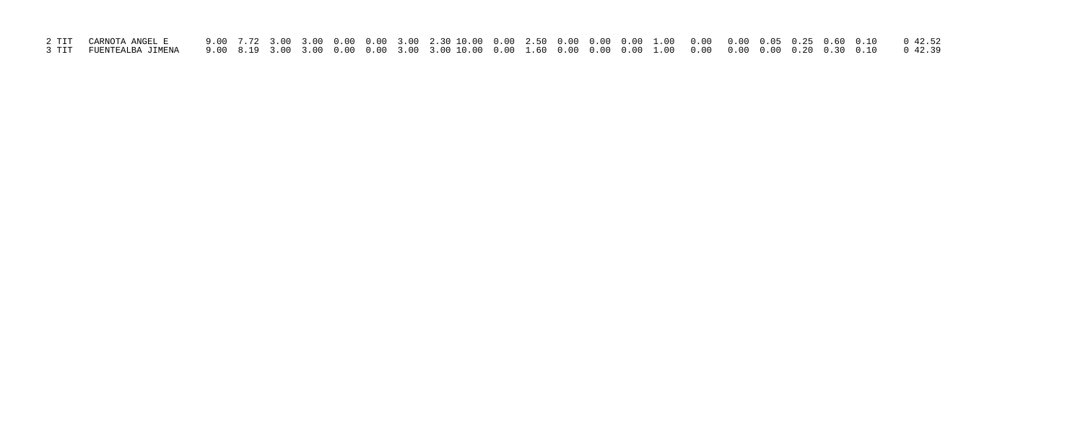| 3 TIT FUENTEALBA JIMENA     9.00  8.19  3.00  3.00  0.00  3.00  3.00  10.00  0.00  0.00  0.00  0.00  0.00  0.00  0.00  0.20  0.30  0.10     0  42.39 |  |  |  |  |  |  |  |  |  |  |
|------------------------------------------------------------------------------------------------------------------------------------------------------|--|--|--|--|--|--|--|--|--|--|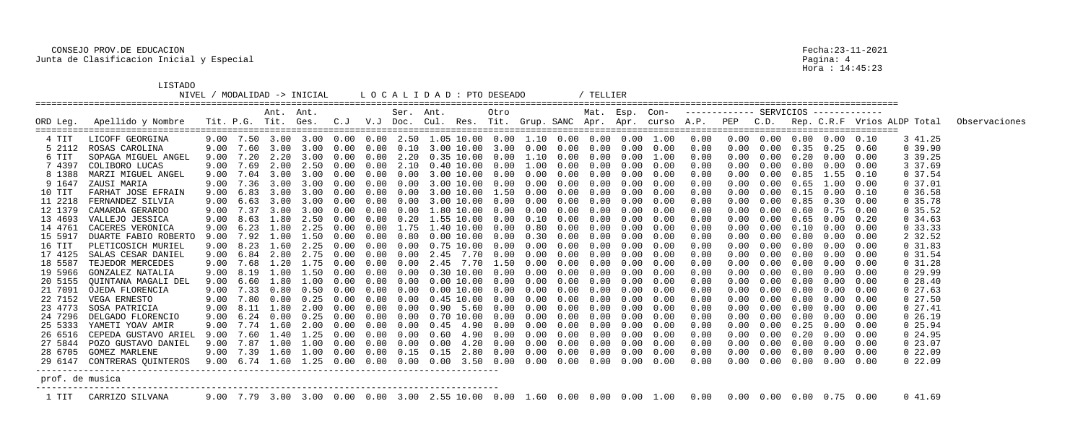LISTADO

| ----     |           |  |
|----------|-----------|--|
| 11 TV TT | MODAT TDA |  |

|                 |                              |      |                   |            | NIVEL / MODALIDAD -> INICIAL            |      |        |                | L O C A L I D A D : PTO DESEADO                                                                          |            |               |            | TELLIER        |                   |            |                                        |      |                                         |                   |                              |      |                                                                                              |               |
|-----------------|------------------------------|------|-------------------|------------|-----------------------------------------|------|--------|----------------|----------------------------------------------------------------------------------------------------------|------------|---------------|------------|----------------|-------------------|------------|----------------------------------------|------|-----------------------------------------|-------------------|------------------------------|------|----------------------------------------------------------------------------------------------|---------------|
| ORD Leg.        | Apellido y Nombre            |      |                   | Ant. Ant.  | Tit. P.G. Tit. Ges. C.J                 |      |        | Ser. Ant.      |                                                                                                          | Otro       |               |            | Mat. Esp. Con- |                   |            | -------------- SERVICIOS ------------- |      |                                         |                   |                              |      | V.J Doc. Cul. Res. Tit. Grup. SANC Apr. Apr. curso A.P. PEP C.D. Rep. C.R.F Vrios ALDP Total | Observaciones |
| 4 TIT           | LICOFF GEORGINA              |      |                   |            | 9.00 7.50 3.00 3.00 0.00                |      |        |                | $0.00$ 2.50 1.05 10.00 0.00 1.10 0.00 0.00 0.00                                                          |            |               |            |                |                   | 1.00       | 0.00                                   | 0.00 |                                         | $0.00 \quad 0.00$ | 0.00                         | 0.10 | 3 41.25                                                                                      |               |
| 5 2112          | ROSAS CAROLINA               |      |                   |            | 9.00 7.60 3.00 3.00 0.00                |      | 0.00   | $0\,.10$       | $3.00$ 10.00 3.00 0.00                                                                                   |            |               | 0.00       |                | $0.00 \quad 0.00$ | 0.00       | 0.00                                   | 0.00 |                                         |                   | $0.00 \quad 0.35 \quad 0.25$ | 0.60 | 0, 39.90                                                                                     |               |
| 6 TIT           | SOPAGA MIGUEL ANGEL          | 9.00 | 7.20              | 2.20       | 3.00                                    | 0.00 | 0.00   |                | 2.20 0.35 10.00 0.00 1.10 0.00                                                                           |            |               |            |                | $0.00 \quad 0.00$ | 1.00       | 0.00                                   | 0.00 | 0.00                                    | 0.20              | 0.00                         | 0.00 | 3 39.25                                                                                      |               |
| 7 4397          | COLIBORO LUCAS               | 9.00 | 7.69              |            | 2.00 2.50                               | 0.00 | 0.00   | 2.10           | $0.40$ 10.00 0.00 1.00                                                                                   |            |               | 0.00       | 0.00           | 0.00              | 0.00       | 0.00                                   | 0.00 | 0.00                                    | 0.00              | 0.00                         | 0.00 | 3 37.69                                                                                      |               |
| 8 1388          | MARZI MIGUEL ANGEL           | 9.00 | 7.04              |            | 3.00 3.00                               | 0.00 | 0.00   | 0.00           | 3.00 10.00 0.00 0.00                                                                                     |            |               | 0.00       | $0\,.\,00$     | 0.00              | 0.00       | 0.00                                   | 0.00 | 0.00                                    | 0.85              | 1.55                         | 0.10 | 0.37.54                                                                                      |               |
| 9 1647          | ZAUSI MARIA                  | 9.00 | 7.36              | 3.00       | 3.00                                    | 0.00 | 0.00   | 0.00           | $3.00$ $10.00$ $0.00$ $0.00$                                                                             |            |               | 0.00       | 0.00           | 0.00              | 0.00       | 0.00                                   | 0.00 | 0.00                                    | 0.65              | 1.00                         | 0.00 | 0, 37.01                                                                                     |               |
| 10 TIT          | FARHAT JOSE EFRAIN           |      |                   |            | $9.00 \quad 6.83 \quad 3.00 \quad 3.00$ | 0.00 | 0.00   | 0.00           | 3.00 10.00 1.50 0.00                                                                                     |            |               | $0\,.\,00$ | $0\,.\,00$     | 0.00              | 0.00       | 0.00                                   | 0.00 | 0.00                                    | 0.15              | 0.00                         | 0.10 | 0, 36.58                                                                                     |               |
| 11 2218         | FERNANDEZ SILVIA             |      | 9.00 6.63         |            | 3.00 3.00                               | 0.00 | 0.00   | $0\,.\,00$     | $3.00$ 10.00 0.00 0.00                                                                                   |            |               | 0.00       | $0\,.\,00$     | 0.00              | 0.00       | 0.00                                   |      | 0.00                                    | 0.85              | 0.30                         | 0.00 | 0.35.78                                                                                      |               |
| 12 1379         | CAMARDA GERARDO              | 9.00 | 7.37              |            | 3.00 3.00                               | 0.00 | 0.00   |                | $0.00 \quad 1.80 \quad 10.00 \quad 0.00 \quad 0.00$                                                      |            |               | 0.00       | 0.00           | 0.00              | 0.00       | 0.00                                   | 0.00 | 0.00                                    | 0.60              | 0.75                         | 0.00 | 0, 35.52                                                                                     |               |
| 13 4693         | VALLEJO JESSICA              |      | $9.00 \quad 8.63$ | 1.80       | 2.50                                    | 0.00 | 0.00   | $0\,\ldotp 20$ | $1.55$ 10.00 0.00 0.10                                                                                   |            |               | $0\,.\,00$ | $0\,.\,00$     | 0.00              | 0.00       | 0.00                                   | 0.00 | 0.00                                    | 0.65              | 0.00                         | 0.20 | 0, 34.63                                                                                     |               |
| 14 4761         | CACERES VERONICA             |      | $9.00 \quad 6.23$ | 1.80       | 2.25                                    | 0.00 | 0.00   | 1.75           | $1.40$ 10.00 0.00 0.80                                                                                   |            |               | 0.00       | 0.00           | 0.00              | 0.00       | 0.00                                   | 0.00 | 0.00                                    | $0\,.10$          | 0.00                         | 0.00 | $0\,33.33$                                                                                   |               |
| 15 5917         | DUARTE FABIO ROBERTO         | 9.00 | 7.92              | 1.00       | 1.50                                    | 0.00 | (0.00) | 0.80           | $0.00$ 10.00 0.00 0.30                                                                                   |            |               | 0.00       | 0.00           | 0.00              | 0.00       | 0.00                                   | 0.00 | 0.00                                    | 0.00              | 0.00                         | 0.00 | 2 32.52                                                                                      |               |
| 16 TIT          | PLETICOSICH MURIEL           |      | $9.00 \quad 8.23$ | 1.60       | 2.25                                    | 0.00 | 0.00   |                | $0.00 \quad 0.75$ 10.00 0.00                                                                             |            | 0.00          | 0.00       | $0\,.\,00$     | 0.00              | 0.00       | 0.00                                   | 0.00 | 0.00                                    | 0.00              | 0.00                         | 0.00 | $0\,31.83$                                                                                   |               |
| 17 4125         | SALAS CESAR DANIEL           |      | $9.00 \quad 6.84$ | 2.80       | 2.75                                    | 0.00 | 0.00   | 0.00           | 2.45<br>7.70                                                                                             | 0.00       | 0.00          | 0.00       | $0\,.\,00$     | 0.00              | 0.00       | 0.00                                   | 0.00 | 0.00                                    | 0.00              | $0\,.\,00$                   | 0.00 | $0\,31.54$                                                                                   |               |
| 18 5587         | TEJEDOR MERCEDES             | 9.00 | 7.68              | 1.20       | 1.75                                    | 0.00 | (0.00) | 0.00           | 2.45                                                                                                     | 7.70       | 1.50 0.00     | 0.00       | 0.00           | 0.00              | 0.00       | 0.00                                   | 0.00 | 0.00                                    | 0.00              | 0.00                         | 0.00 | $0\,31.28$                                                                                   |               |
| 19 5966         | GONZALEZ NATALIA             | 9.00 | 8.19              | 1.00       | 1.50                                    | 0.00 | 0.00   | 0.00           | 0.30 10.00                                                                                               |            | $0.00$ $0.00$ | 0.00       | $0\,.\,00$     | 0.00              | 0.00       | 0.00                                   | 0.00 | 0.00                                    | 0.00              | 0.00                         | 0.00 | 0, 29.99                                                                                     |               |
| 20 5155         | QUINTANA MAGALI DEL          | 9.00 | 6.60              | 1.80       | 1.00                                    | 0.00 | 0.00   | 0.00           | $0.00$ $10.00$ $0.00$                                                                                    |            | 0.00          | 0.00       | 0.00           | 0.00              | 0.00       | 0.00                                   | 0.00 | 0.00                                    | 0.00              | $0\,.\,00$                   | 0.00 | $0\ 28.40$                                                                                   |               |
| 21 7091         | OJEDA FLORENCIA              | 9.00 | 7.33              | 0.80       | 0.50                                    | 0.00 | 0.00   | 0.00           | $0.00$ 10.00 0.00 0.00                                                                                   |            |               | 0.00       | 0.00           | 0.00              | 0.00       | 0.00                                   | 0.00 | 0.00                                    | 0.00              | 0.00                         | 0.00 | 027.63                                                                                       |               |
| 22 7152         | VEGA ERNESTO                 | 9.00 | 7.80              | $0\,.\,00$ | 0.25                                    | 0.00 | 0.00   | 0.00           | 0.45 10.00                                                                                               | 0.00       | 0.00          | 0.00       | 0.00           | 0.00              | 0.00       | 0.00                                   | 0.00 | 0.00                                    | 0.00              | 0.00                         | 0.00 | 027.50                                                                                       |               |
| 23 4773         | SOSA PATRICIA                | 9.00 | 8.11              | 1.80       | 2.00                                    | 0.00 | 0.00   | 0.00           | $0.90 \quad 5.60$                                                                                        | $0\,.\,00$ | 0.00          | 0.00       | 0.00           | 0.00              | 0.00       | 0.00                                   |      | 0.00                                    | 0.00              | $0\,.\,00$                   | 0.00 | $0\;27.41$                                                                                   |               |
| 24 7296         | DELGADO FLORENCIO            | 9.00 | 6.24              | 0.00       | 0.25                                    | 0.00 | 0.00   | 0.00           | 0.70 10.00  0.00  0.00                                                                                   |            |               | 0.00       | 0.00           | 0.00              | 0.00       | 0.00                                   | 0.00 | 0.00                                    | 0.00              | 0.00                         | 0.00 | $0\,26.19$                                                                                   |               |
| 25 5333         | YAMETI YOAV AMIR             | 9.00 |                   |            | 7.74 1.60 2.00                          | 0.00 | 0.00   | 0.00           | 0.45 4.90                                                                                                | $0\,.\,00$ | 0.00          | 0.00       | $0\,.\,00$     | 0.00              | 0.00       | 0.00                                   | 0.00 | 0.00                                    | 0.25              | 0.00                         | 0.00 | 0, 25.94                                                                                     |               |
|                 | 26 6516 CEPEDA GUSTAVO ARIEL |      |                   |            | 9.00 7.60 1.40 1.25 0.00                |      | 0.00   |                | $0.00 \t 0.60 \t 4.90 \t 0.00 \t 0.00$                                                                   |            |               | $0\,.\,00$ |                | $0.00 \quad 0.00$ | 0.00       | 0.00                                   | 0.00 |                                         | $0.00 \quad 0.20$ | 0.00                         | 0.00 | 0, 24.95                                                                                     |               |
|                 | 27 5844 POZO GUSTAVO DANIEL  |      |                   |            |                                         |      |        |                | $9.00$ $7.87$ $1.00$ $1.00$ $0.00$ $0.00$ $0.00$ $0.00$ $4.20$ $0.00$ $0.00$ $0.00$ $0.00$ $0.00$ $0.00$ |            |               |            |                |                   |            | 0.00                                   |      |                                         |                   | $0.00$ $0.00$ $0.00$         |      | 023.07                                                                                       |               |
| 28 6705         | GOMEZ MARLENE                | 9.00 |                   |            | 7.39 1.60 1.00 0.00                     |      |        |                | $0.00$ $0.15$ $0.15$ $2.80$ $0.00$ $0.00$ $0.00$                                                         |            |               |            | $0.00$ $0.00$  |                   | 0.00       | 0.00                                   |      |                                         |                   | $0.00$ $0.00$ $0.00$         | 0.00 | $0\,22.09$                                                                                   |               |
|                 | 29 6147 CONTRERAS QUINTEROS  |      |                   |            |                                         |      |        |                | $9.00$ 6.74 $1.60$ $1.25$ $0.00$ $0.00$ $0.00$ $0.00$ $3.50$ $0.00$ $0.00$ $0.00$ $0.00$ $0.00$          |            |               |            |                |                   | $0\,.\,00$ | 0.00                                   |      | $0.00 \quad 0.00 \quad 0.00 \quad 0.00$ |                   |                              | 0.00 | $0\,22.09$                                                                                   |               |
| prof. de musica |                              |      |                   |            |                                         |      |        |                |                                                                                                          |            |               |            |                |                   |            |                                        |      |                                         |                   |                              |      |                                                                                              |               |
| 1 TIT           | CARRIZO SILVANA              |      |                   |            |                                         |      |        |                |                                                                                                          |            |               |            |                |                   |            |                                        |      |                                         |                   |                              |      | 0 41.69                                                                                      |               |

Pagina: 4<br>Hora : 14:45:23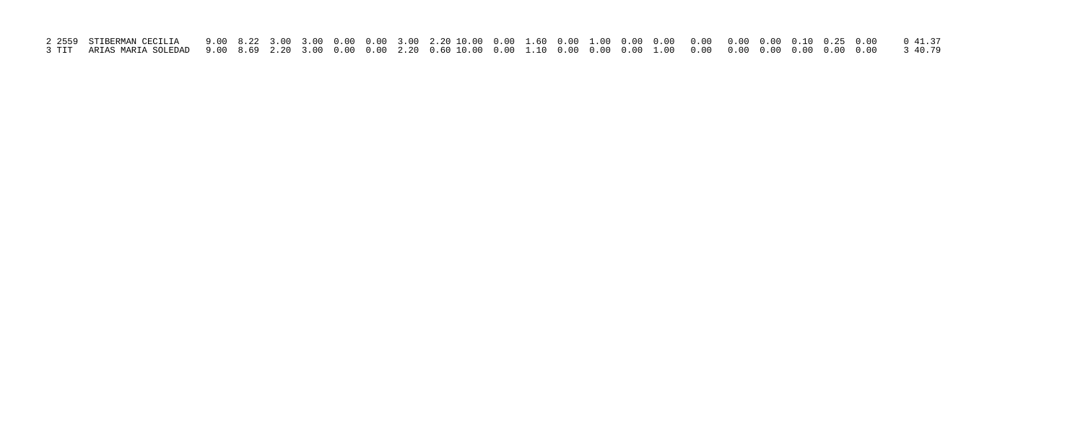| 2 2559 STIBERMAN CECILIA    9.00  8.22  3.00  3.00  0.00  3.00  2.20 10.00  0.00  1.60  0.00  0.00  0.00  0.00  0.00  0.10  0.25  0.00   041.37 |  |  |  |  |  |  |  |  |  |  |  |
|-------------------------------------------------------------------------------------------------------------------------------------------------|--|--|--|--|--|--|--|--|--|--|--|
| 3 TIT ARIAS MARIA SOLEDAD  9.00  8.69  2.20  3.00  0.00  0.00  2.20  0.60 10.00  0.00  0.00  0.00  0.00  0.00  0.00  0.00  0.00  0.00  3 40.79  |  |  |  |  |  |  |  |  |  |  |  |